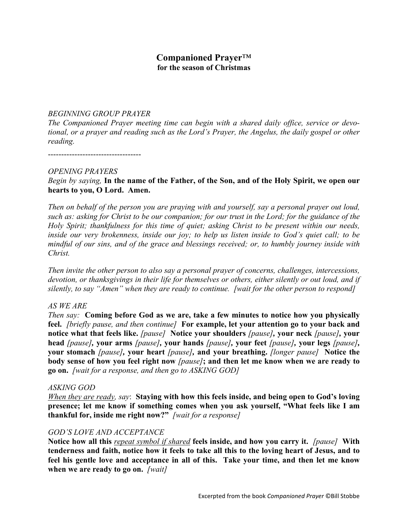# **Companioned Prayer**™ **for the season of Christmas**

#### *BEGINNING GROUP PRAYER*

*The Companioned Prayer meeting time can begin with a shared daily office, service or devotional, or a prayer and reading such as the Lord's Prayer, the Angelus, the daily gospel or other reading.*

-----------------------------------

#### *OPENING PRAYERS*

### *Begin by saying,* **In the name of the Father, of the Son, and of the Holy Spirit, we open our hearts to you, O Lord. Amen.**

*Then on behalf of the person you are praying with and yourself, say a personal prayer out loud, such as: asking for Christ to be our companion; for our trust in the Lord; for the guidance of the Holy Spirit; thankfulness for this time of quiet; asking Christ to be present within our needs, inside our very brokenness, inside our joy; to help us listen inside to God's quiet call; to be mindful of our sins, and of the grace and blessings received; or, to humbly journey inside with Christ.*

*Then invite the other person to also say a personal prayer of concerns, challenges, intercessions, devotion, or thanksgivings in their life for themselves or others, either silently or out loud, and if silently, to say "Amen" when they are ready to continue. [wait for the other person to respond]*

#### *AS WE ARE*

*Then say:* **Coming before God as we are, take a few minutes to notice how you physically feel.** *[briefly pause, and then continue]* **For example, let your attention go to your back and notice what that feels like.** *[pause]* **Notice your shoulders** *[pause],* **your neck** *[pause],* **your head** *[pause],* **your arms** *[pause],* **your hands** *[pause],* **your feet** *[pause],* **your legs** *[pause],*  **your stomach** *[pause],* **your heart** *[pause],* **and your breathing.** *[longer pause]* **Notice the body sense of how you feel right now** *[pause]***; and then let me know when we are ready to go on.** *[wait for a response, and then go to ASKING GOD]*

#### *ASKING GOD*

*When they are ready, say*: **Staying with how this feels inside, and being open to God's loving presence; let me know if something comes when you ask yourself, "What feels like I am thankful for, inside me right now?"** *[wait for a response]*

#### *GOD'S LOVE AND ACCEPTANCE*

**Notice how all this** *repeat symbol if shared* **feels inside, and how you carry it.** *[pause]* **With tenderness and faith, notice how it feels to take all this to the loving heart of Jesus, and to feel his gentle love and acceptance in all of this. Take your time, and then let me know when we are ready to go on.** *[wait]*